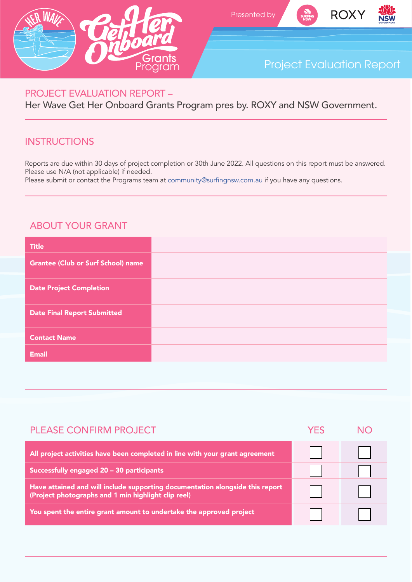





# Project Evaluation Report

#### PROJECT EVALUATION REPORT –

Her Wave Get Her Onboard Grants Program pres by. ROXY and NSW Government.

### **INSTRUCTIONS**

Reports are due within 30 days of project completion or 30th June 2022. All questions on this report must be answered. Please use N/A (not applicable) if needed.

Please submit or contact the Programs team at community@surfingnsw.com.au if you have any questions.

### ABOUT YOUR GRANT

| <b>Title</b>                              |  |
|-------------------------------------------|--|
| <b>Grantee (Club or Surf School) name</b> |  |
| <b>Date Project Completion</b>            |  |
| <b>Date Final Report Submitted</b>        |  |
| <b>Contact Name</b>                       |  |
| <b>Email</b>                              |  |
|                                           |  |

| <b>PLEASE CONFIRM PROJECT</b>                                                                                                        | YFS |  |
|--------------------------------------------------------------------------------------------------------------------------------------|-----|--|
| All project activities have been completed in line with your grant agreement                                                         |     |  |
| Successfully engaged 20 - 30 participants                                                                                            |     |  |
| Have attained and will include supporting documentation alongside this report<br>(Project photographs and 1 min highlight clip reel) |     |  |
| You spent the entire grant amount to undertake the approved project                                                                  |     |  |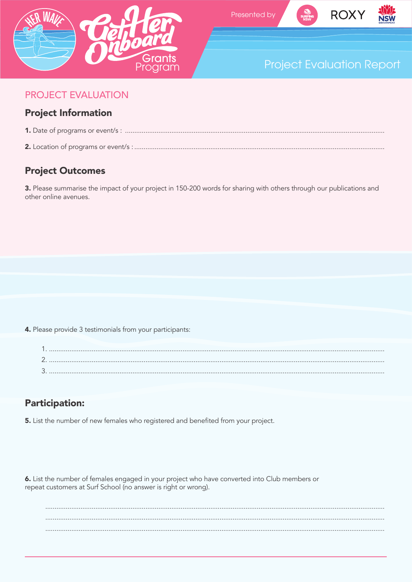





# **Project Evaluation Report**

#### **PROJECT EVALUATION**

#### **Project Information**

- 
- 

### **Project Outcomes**

3. Please summarise the impact of your project in 150-200 words for sharing with others through our publications and other online avenues.

4. Please provide 3 testimonials from your participants:

### **Participation:**

5. List the number of new females who registered and benefited from your project.

6. List the number of females engaged in your project who have converted into Club members or repeat customers at Surf School (no answer is right or wrong).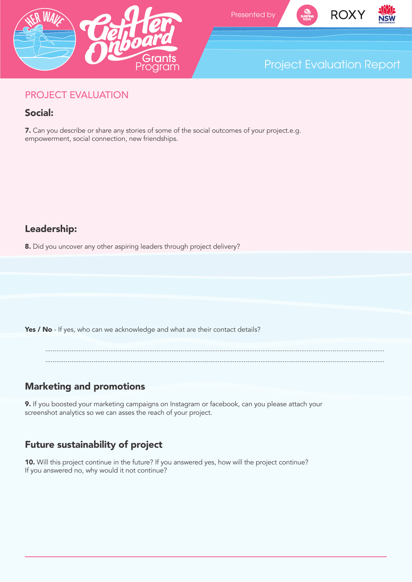







### PROJECT EVALUATION

### Social:

7. Can you describe or share any stories of some of the social outcomes of your project.e.g. empowerment, social connection, new friendships.

### Leadership:

8. Did you uncover any other aspiring leaders through project delivery?

Yes / No - If yes, who can we acknowledge and what are their contact details?

....................................................................................................................................................................................... .......................................................................................................................................................................................

## Marketing and promotions

9. If you boosted your marketing campaigns on Instagram or facebook, can you please attach your screenshot analytics so we can asses the reach of your project.

## Future sustainability of project

10. Will this project continue in the future? If you answered yes, how will the project continue? If you answered no, why would it not continue?